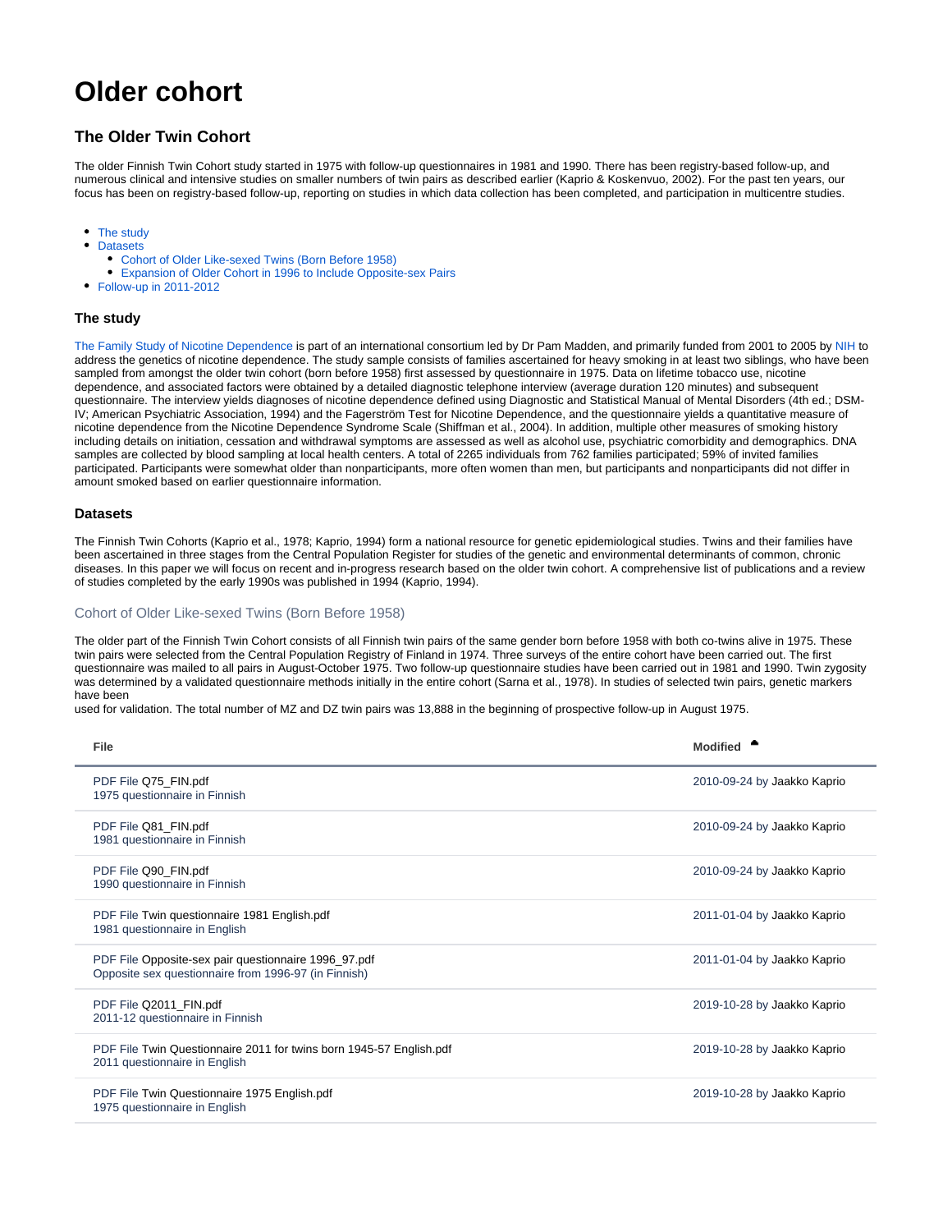# <span id="page-0-3"></span>**Older cohort**

## **The Older Twin Cohort**

The older Finnish Twin Cohort study started in 1975 with follow-up questionnaires in 1981 and 1990. There has been registry-based follow-up, and numerous clinical and intensive studies on smaller numbers of twin pairs as described earlier (Kaprio & Koskenvuo, 2002). For the past ten years, our focus has been on registry-based follow-up, reporting on studies in which data collection has been completed, and participation in multicentre studies.

- [The study](#page-0-0)
- $\bullet$ **[Datasets](#page-0-1)** 
	- [Cohort of Older Like-sexed Twins \(Born Before 1958\)](#page-0-2)
	- [Expansion of Older Cohort in 1996 to Include Opposite-sex Pairs](#page-1-0)
- [Follow-up in 2011-2012](#page-1-1)

### <span id="page-0-0"></span>**The study**

[The Family Study of Nicotine Dependence](https://wiki.helsinki.fi/display/twineng/Nicotine+project) is part of an international consortium led by Dr Pam Madden, and primarily funded from 2001 to 2005 by [NIH](http://www.nih.gov) to address the genetics of nicotine dependence. The study sample consists of families ascertained for heavy smoking in at least two siblings, who have been sampled from amongst the older twin cohort (born before 1958) first assessed by questionnaire in 1975. Data on lifetime tobacco use, nicotine dependence, and associated factors were obtained by a detailed diagnostic telephone interview (average duration 120 minutes) and subsequent questionnaire. The interview yields diagnoses of nicotine dependence defined using Diagnostic and Statistical Manual of Mental Disorders (4th ed.; DSM-IV; American Psychiatric Association, 1994) and the Fagerström Test for Nicotine Dependence, and the questionnaire yields a quantitative measure of nicotine dependence from the Nicotine Dependence Syndrome Scale (Shiffman et al., 2004). In addition, multiple other measures of smoking history including details on initiation, cessation and withdrawal symptoms are assessed as well as alcohol use, psychiatric comorbidity and demographics. DNA samples are collected by blood sampling at local health centers. A total of 2265 individuals from 762 families participated; 59% of invited families participated. Participants were somewhat older than nonparticipants, more often women than men, but participants and nonparticipants did not differ in amount smoked based on earlier questionnaire information.

#### <span id="page-0-1"></span>**Datasets**

The Finnish Twin Cohorts (Kaprio et al., 1978; Kaprio, 1994) form a national resource for genetic epidemiological studies. Twins and their families have been ascertained in three stages from the Central Population Register for studies of the genetic and environmental determinants of common, chronic diseases. In this paper we will focus on recent and in-progress research based on the older twin cohort. A comprehensive list of publications and a review of studies completed by the early 1990s was published in 1994 (Kaprio, 1994).

#### <span id="page-0-2"></span>Cohort of Older Like-sexed Twins (Born Before 1958)

The older part of the Finnish Twin Cohort consists of all Finnish twin pairs of the same gender born before 1958 with both co-twins alive in 1975. These twin pairs were selected from the Central Population Registry of Finland in 1974. Three surveys of the entire cohort have been carried out. The first questionnaire was mailed to all pairs in August-October 1975. Two follow-up questionnaire studies have been carried out in 1981 and 1990. Twin zygosity was determined by a validated questionnaire methods initially in the entire cohort (Sarna et al., 1978). In studies of selected twin pairs, genetic markers have been

used for validation. The total number of MZ and DZ twin pairs was 13,888 in the beginning of prospective follow-up in August 1975.

| File                                                                                                         | <b>Modified</b>             |
|--------------------------------------------------------------------------------------------------------------|-----------------------------|
| PDF File Q75_FIN.pdf<br>1975 questionnaire in Finnish                                                        | 2010-09-24 by Jaakko Kaprio |
| PDF File Q81_FIN.pdf<br>1981 questionnaire in Finnish                                                        | 2010-09-24 by Jaakko Kaprio |
| PDF File Q90_FIN.pdf<br>1990 questionnaire in Finnish                                                        | 2010-09-24 by Jaakko Kaprio |
| PDF File Twin questionnaire 1981 English.pdf<br>1981 questionnaire in English                                | 2011-01-04 by Jaakko Kaprio |
| PDF File Opposite-sex pair questionnaire 1996_97.pdf<br>Opposite sex questionnaire from 1996-97 (in Finnish) | 2011-01-04 by Jaakko Kaprio |
| PDF File Q2011_FIN.pdf<br>2011-12 questionnaire in Finnish                                                   | 2019-10-28 by Jaakko Kaprio |
| PDF File Twin Questionnaire 2011 for twins born 1945-57 English.pdf<br>2011 questionnaire in English         | 2019-10-28 by Jaakko Kaprio |
| PDF File Twin Questionnaire 1975 English.pdf<br>1975 questionnaire in English                                | 2019-10-28 by Jaakko Kaprio |